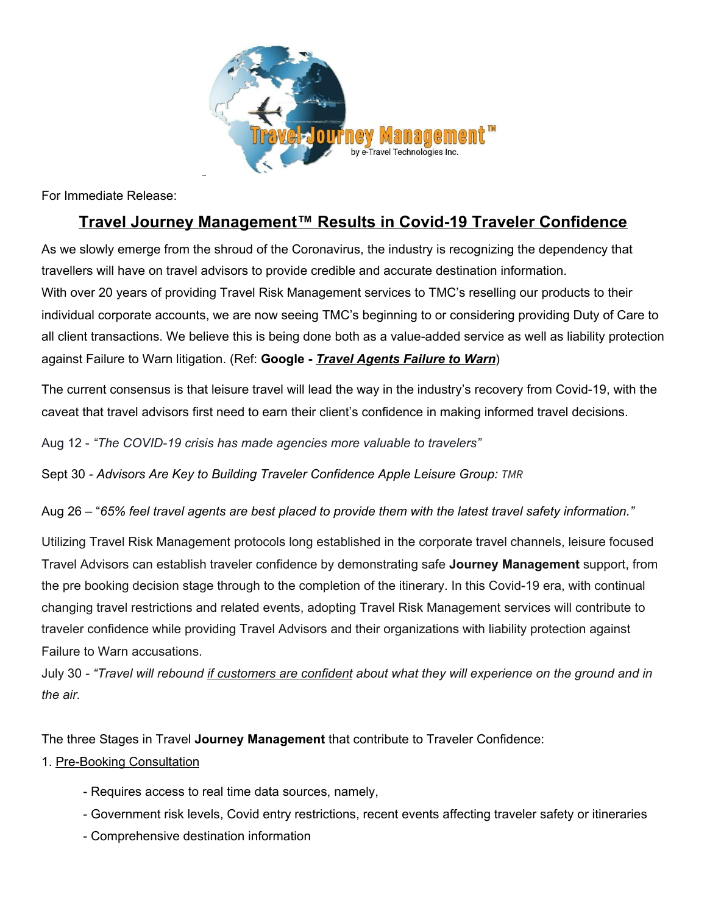

For Immediate Release:

## **Travel Journey Management™ Results in Covid-19 Traveler Confidence**

As we slowly emerge from the shroud of the Coronavirus, the industry is recognizing the dependency that travellers will have on travel advisors to provide credible and accurate destination information. With over 20 years of providing Travel Risk Management services to TMC's reselling our products to their individual corporate accounts, we are now seeing TMC's beginning to or considering providing Duty of Care to all client transactions. We believe this is being done both as a value-added service as well as liability protection against Failure to Warn litigation. (Ref: **Google -** *Travel Agents Failure to Warn*)

The current consensus is that leisure travel will lead the way in the industry's recovery from Covid-19, with the caveat that travel advisors first need to earn their client's confidence in making informed travel decisions.

Aug 12 - *"The COVID-19 crisis has made agencies more valuable to travelers"*

Sept 30 *- Advisors Are Key to Building Traveler Confidence Apple Leisure Group: TMR*

Aug 26 – "*65% feel travel agents are best placed to provide them with the latest travel safety information."*

Utilizing Travel Risk Management protocols long established in the corporate travel channels, leisure focused Travel Advisors can establish traveler confidence by demonstrating safe **Journey Management** support, from the pre booking decision stage through to the completion of the itinerary. In this Covid-19 era, with continual changing travel restrictions and related events, adopting Travel Risk Management services will contribute to traveler confidence while providing Travel Advisors and their organizations with liability protection against Failure to Warn accusations.

July 30 - "Travel will rebound if customers are confident about what they will experience on the ground and in *the air.*

The three Stages in Travel **Journey Management** that contribute to Traveler Confidence:

## 1. Pre-Booking Consultation

- Requires access to real time data sources, namely,
- Government risk levels, Covid entry restrictions, recent events affecting traveler safety or itineraries
- Comprehensive destination information